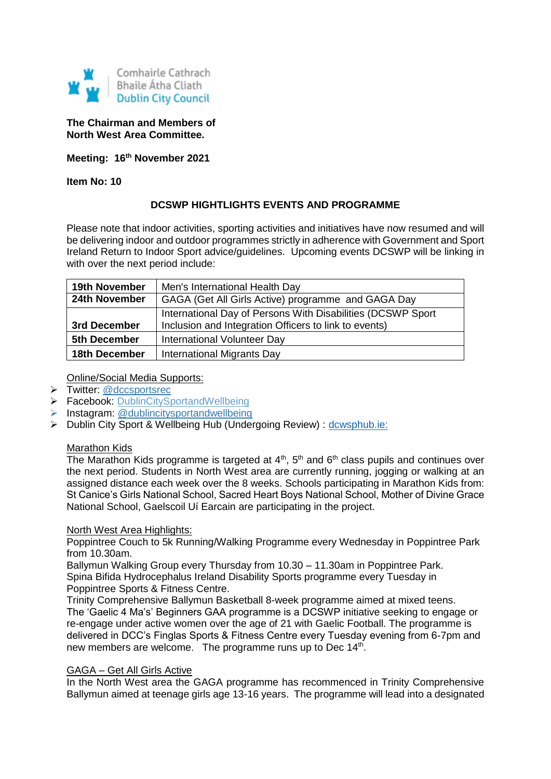

## **The Chairman and Members of North West Area Committee.**

**Meeting: 16th November 2021**

**Item No: 10**

## **DCSWP HIGHTLIGHTS EVENTS AND PROGRAMME**

Please note that indoor activities, sporting activities and initiatives have now resumed and will be delivering indoor and outdoor programmes strictly in adherence with Government and Sport Ireland Return to Indoor Sport advice/guidelines. Upcoming events DCSWP will be linking in with over the next period include:

| <b>19th November</b> | Men's International Health Day                                                                                       |
|----------------------|----------------------------------------------------------------------------------------------------------------------|
| 24th November        | GAGA (Get All Girls Active) programme and GAGA Day                                                                   |
| 3rd December         | International Day of Persons With Disabilities (DCSWP Sport<br>Inclusion and Integration Officers to link to events) |
| 5th December         | International Volunteer Day                                                                                          |
| 18th December        | International Migrants Day                                                                                           |

Online/Social Media Supports:

- > Twitter: [@dccsportsrec](https://twitter.com/dccsportsrec)
- ▶ Facebook: DublinCitySportandWellbeing
- $\triangleright$  Instagram: @dublincitysportandwellbeing
- > Dublin City Sport & Wellbeing Hub (Undergoing Review) : dcwsphub.ie:

#### Marathon Kids

The Marathon Kids programme is targeted at  $4<sup>th</sup>$ ,  $5<sup>th</sup>$  and  $6<sup>th</sup>$  class pupils and continues over the next period. Students in North West area are currently running, jogging or walking at an assigned distance each week over the 8 weeks. Schools participating in Marathon Kids from: St Canice's Girls National School, Sacred Heart Boys National School, Mother of Divine Grace National School, Gaelscoil Uí Earcain are participating in the project.

#### North West Area Highlights:

Poppintree Couch to 5k Running/Walking Programme every Wednesday in Poppintree Park from 10.30am.

Ballymun Walking Group every Thursday from 10.30 – 11.30am in Poppintree Park. Spina Bifida Hydrocephalus Ireland Disability Sports programme every Tuesday in Poppintree Sports & Fitness Centre.

Trinity Comprehensive Ballymun Basketball 8-week programme aimed at mixed teens. The 'Gaelic 4 Ma's' Beginners GAA programme is a DCSWP initiative seeking to engage or re-engage under active women over the age of 21 with Gaelic Football. The programme is delivered in DCC's Finglas Sports & Fitness Centre every Tuesday evening from 6-7pm and new members are welcome. The programme runs up to Dec 14<sup>th</sup>.

## GAGA – Get All Girls Active

In the North West area the GAGA programme has recommenced in Trinity Comprehensive Ballymun aimed at teenage girls age 13-16 years. The programme will lead into a designated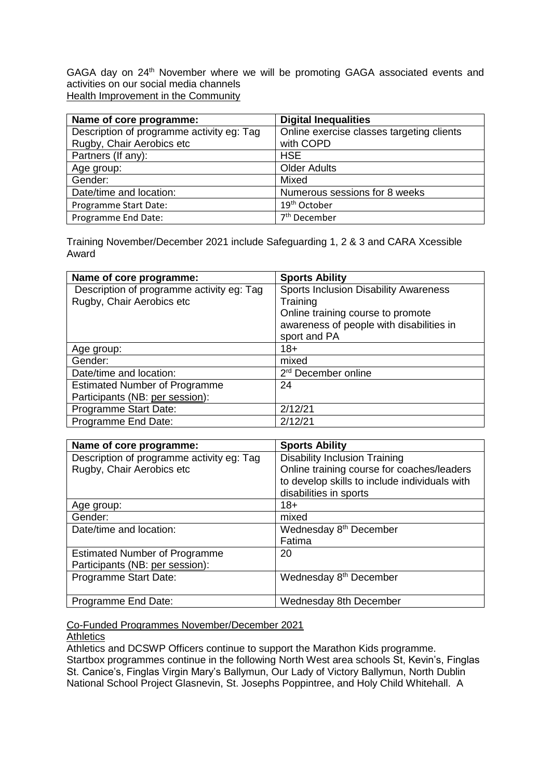GAGA day on 24<sup>th</sup> November where we will be promoting GAGA associated events and activities on our social media channels Health Improvement in the Community

| Name of core programme:                   | <b>Digital Inequalities</b>               |
|-------------------------------------------|-------------------------------------------|
| Description of programme activity eg: Tag | Online exercise classes targeting clients |
| Rugby, Chair Aerobics etc                 | with COPD                                 |
| Partners (If any):                        | <b>HSE</b>                                |
| Age group:                                | <b>Older Adults</b>                       |
| Gender:                                   | Mixed                                     |
| Date/time and location:                   | Numerous sessions for 8 weeks             |
| Programme Start Date:                     | 19 <sup>th</sup> October                  |
| Programme End Date:                       | 7 <sup>th</sup> December                  |

Training November/December 2021 include Safeguarding 1, 2 & 3 and CARA Xcessible Award

| Name of core programme:                   | <b>Sports Ability</b>                        |
|-------------------------------------------|----------------------------------------------|
| Description of programme activity eg: Tag | <b>Sports Inclusion Disability Awareness</b> |
| Rugby, Chair Aerobics etc                 | Training                                     |
|                                           | Online training course to promote            |
|                                           | awareness of people with disabilities in     |
|                                           | sport and PA                                 |
| Age group:                                | $18+$                                        |
| Gender:                                   | mixed                                        |
| Date/time and location:                   | 2 <sup>rd</sup> December online              |
| <b>Estimated Number of Programme</b>      | 24                                           |
| Participants (NB: per session):           |                                              |
| Programme Start Date:                     | 2/12/21                                      |
| Programme End Date:                       | 2/12/21                                      |

| Name of core programme:                   | <b>Sports Ability</b>                         |
|-------------------------------------------|-----------------------------------------------|
| Description of programme activity eg: Tag | <b>Disability Inclusion Training</b>          |
| Rugby, Chair Aerobics etc                 | Online training course for coaches/leaders    |
|                                           | to develop skills to include individuals with |
|                                           | disabilities in sports                        |
| Age group:                                | $18+$                                         |
| Gender:                                   | mixed                                         |
| Date/time and location:                   | Wednesday 8 <sup>th</sup> December            |
|                                           | Fatima                                        |
| <b>Estimated Number of Programme</b>      | 20                                            |
| Participants (NB: per session):           |                                               |
| Programme Start Date:                     | Wednesday 8 <sup>th</sup> December            |
|                                           |                                               |
| Programme End Date:                       | Wednesday 8th December                        |

Co-Funded Programmes November/December 2021

#### **Athletics**

Athletics and DCSWP Officers continue to support the Marathon Kids programme. Startbox programmes continue in the following North West area schools St, Kevin's, Finglas St. Canice's, Finglas Virgin Mary's Ballymun, Our Lady of Victory Ballymun, North Dublin National School Project Glasnevin, St. Josephs Poppintree, and Holy Child Whitehall. A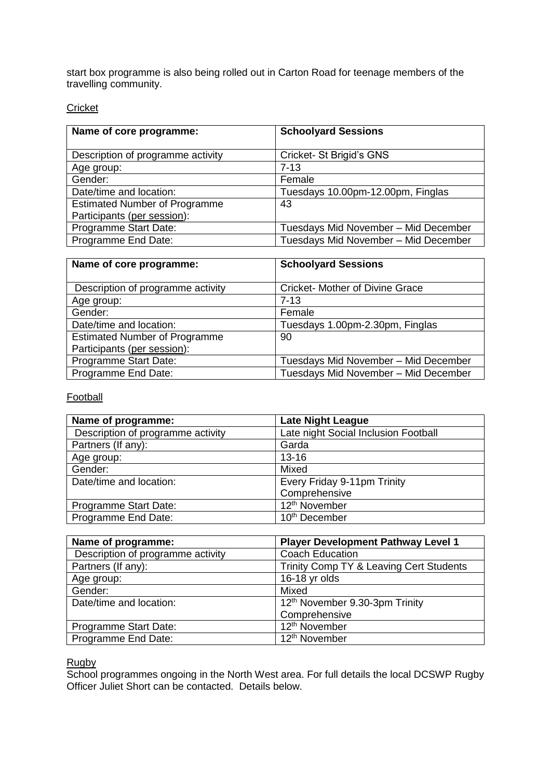start box programme is also being rolled out in Carton Road for teenage members of the travelling community.

**Cricket** 

| Name of core programme:              | <b>Schoolyard Sessions</b>           |
|--------------------------------------|--------------------------------------|
| Description of programme activity    | Cricket-St Brigid's GNS              |
| Age group:                           | $7 - 13$                             |
| Gender:                              | Female                               |
| Date/time and location:              | Tuesdays 10.00pm-12.00pm, Finglas    |
| <b>Estimated Number of Programme</b> | 43                                   |
| Participants (per session):          |                                      |
| Programme Start Date:                | Tuesdays Mid November - Mid December |
| Programme End Date:                  | Tuesdays Mid November - Mid December |

| Name of core programme:              | <b>Schoolyard Sessions</b>             |  |
|--------------------------------------|----------------------------------------|--|
| Description of programme activity    | <b>Cricket- Mother of Divine Grace</b> |  |
| Age group:                           | $7 - 13$                               |  |
| Gender:                              | Female                                 |  |
| Date/time and location:              | Tuesdays 1.00pm-2.30pm, Finglas        |  |
| <b>Estimated Number of Programme</b> | 90                                     |  |
| Participants (per session):          |                                        |  |
| Programme Start Date:                | Tuesdays Mid November - Mid December   |  |
| Programme End Date:                  | Tuesdays Mid November - Mid December   |  |

**Football** 

| Name of programme:                | <b>Late Night League</b>             |
|-----------------------------------|--------------------------------------|
| Description of programme activity | Late night Social Inclusion Football |
| Partners (If any):                | Garda                                |
| Age group:                        | $13 - 16$                            |
| Gender:                           | Mixed                                |
| Date/time and location:           | Every Friday 9-11pm Trinity          |
|                                   | Comprehensive                        |
| Programme Start Date:             | 12 <sup>th</sup> November            |
| Programme End Date:               | 10 <sup>th</sup> December            |

| Name of programme:                | <b>Player Development Pathway Level 1</b> |
|-----------------------------------|-------------------------------------------|
| Description of programme activity | <b>Coach Education</b>                    |
| Partners (If any):                | Trinity Comp TY & Leaving Cert Students   |
| Age group:                        | 16-18 yr olds                             |
| Gender:                           | Mixed                                     |
| Date/time and location:           | 12th November 9.30-3pm Trinity            |
|                                   | Comprehensive                             |
| Programme Start Date:             | 12 <sup>th</sup> November                 |
| Programme End Date:               | 12 <sup>th</sup> November                 |

Rugby

School programmes ongoing in the North West area. For full details the local DCSWP Rugby Officer Juliet Short can be contacted. Details below.